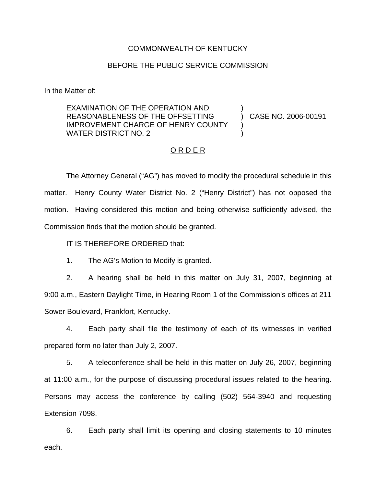## COMMONWEALTH OF KENTUCKY

## BEFORE THE PUBLIC SERVICE COMMISSION

In the Matter of:

EXAMINATION OF THE OPERATION AND REASONABLENESS OF THE OFFSETTING IMPROVEMENT CHARGE OF HENRY COUNTY WATER DISTRICT NO. 2 ) ) CASE NO. 2006-00191 ) )

## O R D E R

The Attorney General ("AG") has moved to modify the procedural schedule in this matter. Henry County Water District No. 2 ("Henry District") has not opposed the motion. Having considered this motion and being otherwise sufficiently advised, the Commission finds that the motion should be granted.

IT IS THEREFORE ORDERED that:

1. The AG's Motion to Modify is granted.

2. A hearing shall be held in this matter on July 31, 2007, beginning at 9:00 a.m., Eastern Daylight Time, in Hearing Room 1 of the Commission's offices at 211 Sower Boulevard, Frankfort, Kentucky.

4. Each party shall file the testimony of each of its witnesses in verified prepared form no later than July 2, 2007.

5. A teleconference shall be held in this matter on July 26, 2007, beginning at 11:00 a.m., for the purpose of discussing procedural issues related to the hearing. Persons may access the conference by calling (502) 564-3940 and requesting Extension 7098.

6. Each party shall limit its opening and closing statements to 10 minutes each.